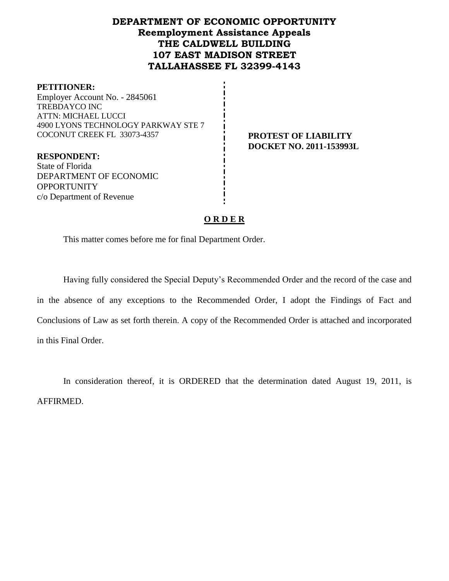# **DEPARTMENT OF ECONOMIC OPPORTUNITY Reemployment Assistance Appeals THE CALDWELL BUILDING 107 EAST MADISON STREET TALLAHASSEE FL 32399-4143**

#### **PETITIONER:**

Employer Account No. - 2845061 TREBDAYCO INC ATTN: MICHAEL LUCCI 4900 LYONS TECHNOLOGY PARKWAY STE 7 COCONUT CREEK FL 33073-4357 **PROTEST OF LIABILITY**

**RESPONDENT:** State of Florida DEPARTMENT OF ECONOMIC **OPPORTUNITY** c/o Department of Revenue

**DOCKET NO. 2011-153993L**

## **O R D E R**

This matter comes before me for final Department Order.

Having fully considered the Special Deputy's Recommended Order and the record of the case and in the absence of any exceptions to the Recommended Order, I adopt the Findings of Fact and Conclusions of Law as set forth therein. A copy of the Recommended Order is attached and incorporated in this Final Order.

In consideration thereof, it is ORDERED that the determination dated August 19, 2011, is AFFIRMED.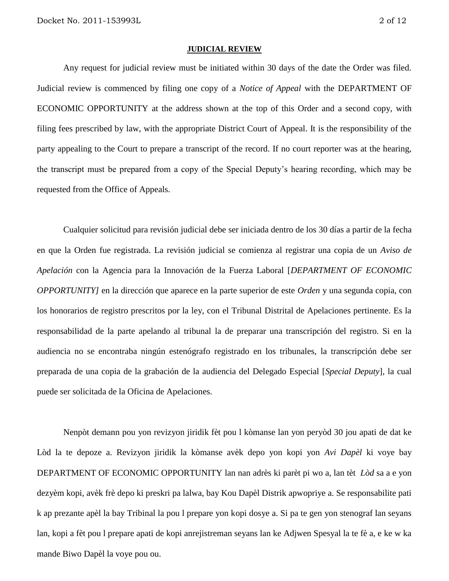#### **JUDICIAL REVIEW**

Any request for judicial review must be initiated within 30 days of the date the Order was filed. Judicial review is commenced by filing one copy of a *Notice of Appeal* with the DEPARTMENT OF ECONOMIC OPPORTUNITY at the address shown at the top of this Order and a second copy, with filing fees prescribed by law, with the appropriate District Court of Appeal. It is the responsibility of the party appealing to the Court to prepare a transcript of the record. If no court reporter was at the hearing, the transcript must be prepared from a copy of the Special Deputy's hearing recording, which may be requested from the Office of Appeals.

Cualquier solicitud para revisión judicial debe ser iniciada dentro de los 30 días a partir de la fecha en que la Orden fue registrada. La revisión judicial se comienza al registrar una copia de un *Aviso de Apelación* con la Agencia para la Innovación de la Fuerza Laboral [*DEPARTMENT OF ECONOMIC OPPORTUNITY]* en la dirección que aparece en la parte superior de este *Orden* y una segunda copia, con los honorarios de registro prescritos por la ley, con el Tribunal Distrital de Apelaciones pertinente. Es la responsabilidad de la parte apelando al tribunal la de preparar una transcripción del registro. Si en la audiencia no se encontraba ningún estenógrafo registrado en los tribunales, la transcripción debe ser preparada de una copia de la grabación de la audiencia del Delegado Especial [*Special Deputy*], la cual puede ser solicitada de la Oficina de Apelaciones.

Nenpòt demann pou yon revizyon jiridik fèt pou l kòmanse lan yon peryòd 30 jou apati de dat ke Lòd la te depoze a. Revizyon jiridik la kòmanse avèk depo yon kopi yon *Avi Dapèl* ki voye bay DEPARTMENT OF ECONOMIC OPPORTUNITY lan nan adrès ki parèt pi wo a, lan tèt *Lòd* sa a e yon dezyèm kopi, avèk frè depo ki preskri pa lalwa, bay Kou Dapèl Distrik apwopriye a. Se responsabilite pati k ap prezante apèl la bay Tribinal la pou l prepare yon kopi dosye a. Si pa te gen yon stenograf lan seyans lan, kopi a fèt pou l prepare apati de kopi anrejistreman seyans lan ke Adjwen Spesyal la te fè a, e ke w ka mande Biwo Dapèl la voye pou ou.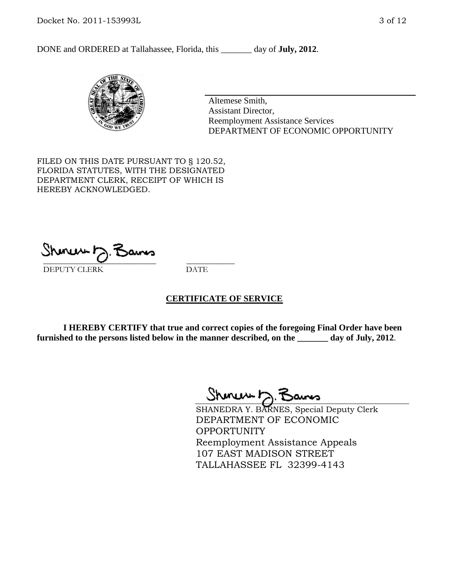DONE and ORDERED at Tallahassee, Florida, this \_\_\_\_\_\_\_ day of **July, 2012**.



Altemese Smith, Assistant Director, Reemployment Assistance Services DEPARTMENT OF ECONOMIC OPPORTUNITY

FILED ON THIS DATE PURSUANT TO § 120.52, FLORIDA STATUTES, WITH THE DESIGNATED DEPARTMENT CLERK, RECEIPT OF WHICH IS HEREBY ACKNOWLEDGED.

\_\_\_\_\_\_\_\_\_\_\_\_\_\_\_\_\_\_\_\_\_\_\_\_\_\_\_\_ \_\_\_\_\_\_\_\_\_\_\_\_ DEPUTY CLERK DATE

#### **CERTIFICATE OF SERVICE**

**I HEREBY CERTIFY that true and correct copies of the foregoing Final Order have been furnished to the persons listed below in the manner described, on the \_\_\_\_\_\_\_ day of July, 2012**.

Shmun 12.Z

SHANEDRA Y. BARNES, Special Deputy Clerk DEPARTMENT OF ECONOMIC OPPORTUNITY Reemployment Assistance Appeals 107 EAST MADISON STREET TALLAHASSEE FL 32399-4143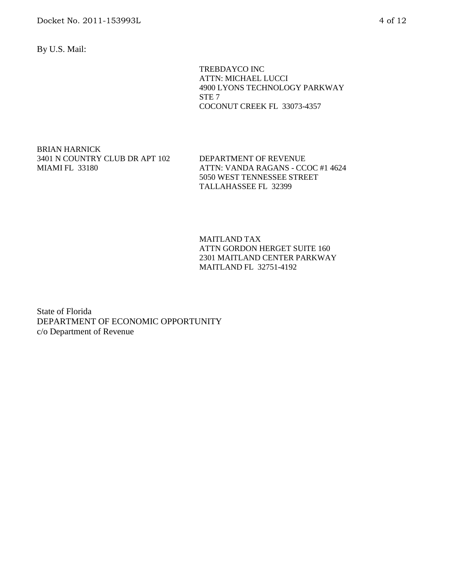By U.S. Mail:

 TREBDAYCO INC ATTN: MICHAEL LUCCI 4900 LYONS TECHNOLOGY PARKWAY STE 7 COCONUT CREEK FL 33073-4357

BRIAN HARNICK 3401 N COUNTRY CLUB DR APT 102 MIAMI FL 33180

DEPARTMENT OF REVENUE ATTN: VANDA RAGANS - CCOC #1 4624 5050 WEST TENNESSEE STREET TALLAHASSEE FL 32399

MAITLAND TAX ATTN GORDON HERGET SUITE 160 2301 MAITLAND CENTER PARKWAY MAITLAND FL 32751-4192

State of Florida DEPARTMENT OF ECONOMIC OPPORTUNITY c/o Department of Revenue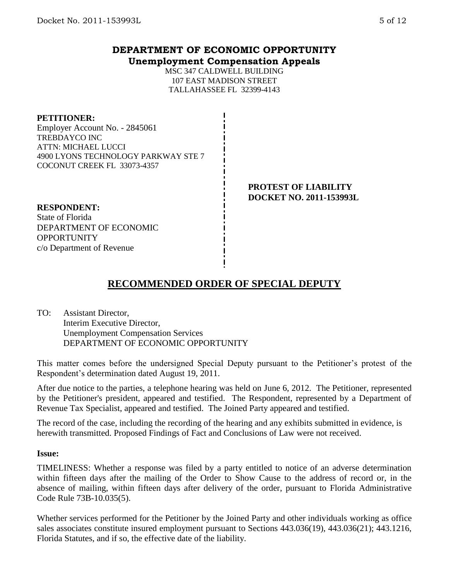## **DEPARTMENT OF ECONOMIC OPPORTUNITY Unemployment Compensation Appeals**

MSC 347 CALDWELL BUILDING 107 EAST MADISON STREET TALLAHASSEE FL 32399-4143

**PETITIONER:**

Employer Account No. - 2845061 TREBDAYCO INC ATTN: MICHAEL LUCCI 4900 LYONS TECHNOLOGY PARKWAY STE 7 COCONUT CREEK FL 33073-4357

> **PROTEST OF LIABILITY DOCKET NO. 2011-153993L**

## **RESPONDENT:**

State of Florida DEPARTMENT OF ECONOMIC **OPPORTUNITY** c/o Department of Revenue

# **RECOMMENDED ORDER OF SPECIAL DEPUTY**

TO: Assistant Director, Interim Executive Director, Unemployment Compensation Services DEPARTMENT OF ECONOMIC OPPORTUNITY

This matter comes before the undersigned Special Deputy pursuant to the Petitioner's protest of the Respondent's determination dated August 19, 2011.

After due notice to the parties, a telephone hearing was held on June 6, 2012. The Petitioner, represented by the Petitioner's president, appeared and testified. The Respondent, represented by a Department of Revenue Tax Specialist, appeared and testified. The Joined Party appeared and testified.

The record of the case, including the recording of the hearing and any exhibits submitted in evidence, is herewith transmitted. Proposed Findings of Fact and Conclusions of Law were not received.

#### **Issue:**

TIMELINESS: Whether a response was filed by a party entitled to notice of an adverse determination within fifteen days after the mailing of the Order to Show Cause to the address of record or, in the absence of mailing, within fifteen days after delivery of the order, pursuant to Florida Administrative Code Rule 73B-10.035(5).

Whether services performed for the Petitioner by the Joined Party and other individuals working as office sales associates constitute insured employment pursuant to Sections 443.036(19), 443.036(21); 443.1216, Florida Statutes, and if so, the effective date of the liability.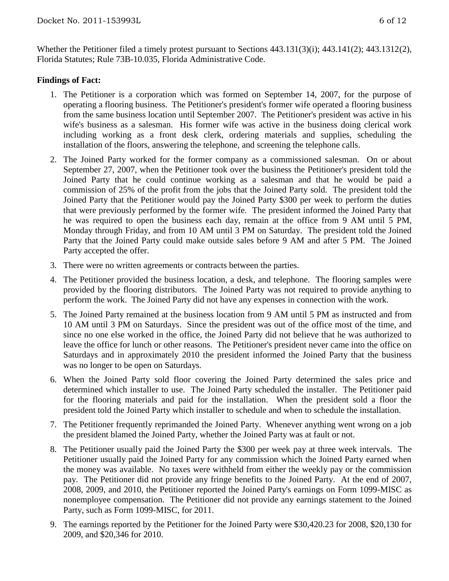Whether the Petitioner filed a timely protest pursuant to Sections 443.131(3)(i); 443.141(2); 443.1312(2), Florida Statutes; Rule 73B-10.035, Florida Administrative Code.

#### **Findings of Fact:**

- 1. The Petitioner is a corporation which was formed on September 14, 2007, for the purpose of operating a flooring business. The Petitioner's president's former wife operated a flooring business from the same business location until September 2007. The Petitioner's president was active in his wife's business as a salesman. His former wife was active in the business doing clerical work including working as a front desk clerk, ordering materials and supplies, scheduling the installation of the floors, answering the telephone, and screening the telephone calls.
- 2. The Joined Party worked for the former company as a commissioned salesman. On or about September 27, 2007, when the Petitioner took over the business the Petitioner's president told the Joined Party that he could continue working as a salesman and that he would be paid a commission of 25% of the profit from the jobs that the Joined Party sold. The president told the Joined Party that the Petitioner would pay the Joined Party \$300 per week to perform the duties that were previously performed by the former wife. The president informed the Joined Party that he was required to open the business each day, remain at the office from 9 AM until 5 PM, Monday through Friday, and from 10 AM until 3 PM on Saturday. The president told the Joined Party that the Joined Party could make outside sales before 9 AM and after 5 PM. The Joined Party accepted the offer.
- 3. There were no written agreements or contracts between the parties.
- 4. The Petitioner provided the business location, a desk, and telephone. The flooring samples were provided by the flooring distributors. The Joined Party was not required to provide anything to perform the work. The Joined Party did not have any expenses in connection with the work.
- 5. The Joined Party remained at the business location from 9 AM until 5 PM as instructed and from 10 AM until 3 PM on Saturdays. Since the president was out of the office most of the time, and since no one else worked in the office, the Joined Party did not believe that he was authorized to leave the office for lunch or other reasons. The Petitioner's president never came into the office on Saturdays and in approximately 2010 the president informed the Joined Party that the business was no longer to be open on Saturdays.
- 6. When the Joined Party sold floor covering the Joined Party determined the sales price and determined which installer to use. The Joined Party scheduled the installer. The Petitioner paid for the flooring materials and paid for the installation. When the president sold a floor the president told the Joined Party which installer to schedule and when to schedule the installation.
- 7. The Petitioner frequently reprimanded the Joined Party. Whenever anything went wrong on a job the president blamed the Joined Party, whether the Joined Party was at fault or not.
- 8. The Petitioner usually paid the Joined Party the \$300 per week pay at three week intervals. The Petitioner usually paid the Joined Party for any commission which the Joined Party earned when the money was available. No taxes were withheld from either the weekly pay or the commission pay. The Petitioner did not provide any fringe benefits to the Joined Party. At the end of 2007, 2008, 2009, and 2010, the Petitioner reported the Joined Party's earnings on Form 1099-MISC as nonemployee compensation. The Petitioner did not provide any earnings statement to the Joined Party, such as Form 1099-MISC, for 2011.
- 9. The earnings reported by the Petitioner for the Joined Party were \$30,420.23 for 2008, \$20,130 for 2009, and \$20,346 for 2010.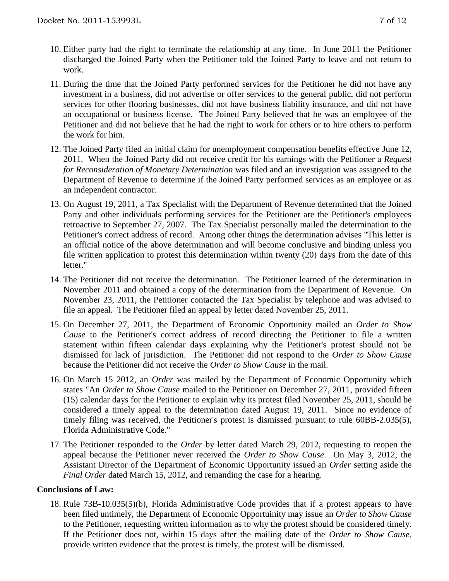- 10. Either party had the right to terminate the relationship at any time. In June 2011 the Petitioner discharged the Joined Party when the Petitioner told the Joined Party to leave and not return to work.
- 11. During the time that the Joined Party performed services for the Petitioner he did not have any investment in a business, did not advertise or offer services to the general public, did not perform services for other flooring businesses, did not have business liability insurance, and did not have an occupational or business license. The Joined Party believed that he was an employee of the Petitioner and did not believe that he had the right to work for others or to hire others to perform the work for him.
- 12. The Joined Party filed an initial claim for unemployment compensation benefits effective June 12, 2011. When the Joined Party did not receive credit for his earnings with the Petitioner a *Request for Reconsideration of Monetary Determination* was filed and an investigation was assigned to the Department of Revenue to determine if the Joined Party performed services as an employee or as an independent contractor.
- 13. On August 19, 2011, a Tax Specialist with the Department of Revenue determined that the Joined Party and other individuals performing services for the Petitioner are the Petitioner's employees retroactive to September 27, 2007. The Tax Specialist personally mailed the determination to the Petitioner's correct address of record. Among other things the determination advises "This letter is an official notice of the above determination and will become conclusive and binding unless you file written application to protest this determination within twenty (20) days from the date of this letter."
- 14. The Petitioner did not receive the determination. The Petitioner learned of the determination in November 2011 and obtained a copy of the determination from the Department of Revenue. On November 23, 2011, the Petitioner contacted the Tax Specialist by telephone and was advised to file an appeal. The Petitioner filed an appeal by letter dated November 25, 2011.
- 15. On December 27, 2011, the Department of Economic Opportunity mailed an *Order to Show Cause* to the Petitioner's correct address of record directing the Petitioner to file a written statement within fifteen calendar days explaining why the Petitioner's protest should not be dismissed for lack of jurisdiction. The Petitioner did not respond to the *Order to Show Cause* because the Petitioner did not receive the *Order to Show Cause* in the mail.
- 16. On March 15 2012, an *Order* was mailed by the Department of Economic Opportunity which states "An *Order to Show Cause* mailed to the Petitioner on December 27, 2011, provided fifteen (15) calendar days for the Petitioner to explain why its protest filed November 25, 2011, should be considered a timely appeal to the determination dated August 19, 2011. Since no evidence of timely filing was received, the Petitioner's protest is dismissed pursuant to rule 60BB-2.035(5), Florida Administrative Code."
- 17. The Petitioner responded to the *Order* by letter dated March 29, 2012, requesting to reopen the appeal because the Petitioner never received the *Order to Show Cause.* On May 3, 2012, the Assistant Director of the Department of Economic Opportunity issued an *Order* setting aside the *Final Order* dated March 15, 2012, and remanding the case for a hearing.

#### **Conclusions of Law:**

18. Rule 73B-10.035(5)(b), Florida Administrative Code provides that if a protest appears to have been filed untimely, the Department of Economic Opportuinity may issue an *Order to Show Cause* to the Petitioner, requesting written information as to why the protest should be considered timely. If the Petitioner does not, within 15 days after the mailing date of the *Order to Show Cause*, provide written evidence that the protest is timely, the protest will be dismissed.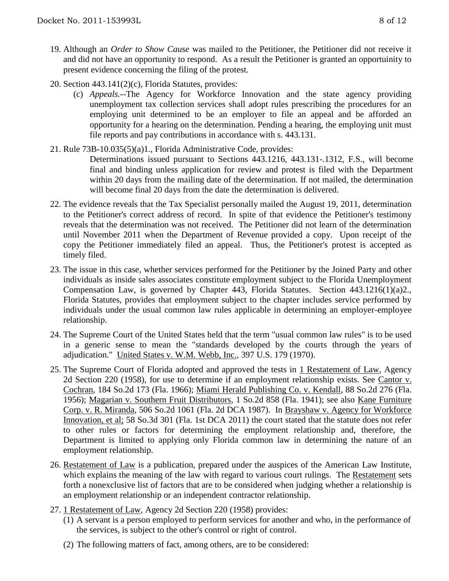- 19. Although an *Order to Show Cause* was mailed to the Petitioner, the Petitioner did not receive it and did not have an opportunity to respond. As a result the Petitioner is granted an opportuinity to present evidence concerning the filing of the protest.
- 20. Section 443.141(2)(c), Florida Statutes, provides:
	- (c) *Appeals.*--The Agency for Workforce Innovation and the state agency providing unemployment tax collection services shall adopt rules prescribing the procedures for an employing unit determined to be an employer to file an appeal and be afforded an opportunity for a hearing on the determination. Pending a hearing, the employing unit must file reports and pay contributions in accordance with s. 443.131.
- 21. Rule 73B-10.035(5)(a)1., Florida Administrative Code, provides:
	- Determinations issued pursuant to Sections 443.1216, 443.131-.1312, F.S., will become final and binding unless application for review and protest is filed with the Department within 20 days from the mailing date of the determination. If not mailed, the determination will become final 20 days from the date the determination is delivered.
- 22. The evidence reveals that the Tax Specialist personally mailed the August 19, 2011, determination to the Petitioner's correct address of record. In spite of that evidence the Petitioner's testimony reveals that the determination was not received. The Petitioner did not learn of the determination until November 2011 when the Department of Revenue provided a copy. Upon receipt of the copy the Petitioner immediately filed an appeal. Thus, the Petitioner's protest is accepted as timely filed.
- 23. The issue in this case, whether services performed for the Petitioner by the Joined Party and other individuals as inside sales associates constitute employment subject to the Florida Unemployment Compensation Law, is governed by Chapter 443, Florida Statutes. Section 443.1216(1)(a)2., Florida Statutes, provides that employment subject to the chapter includes service performed by individuals under the usual common law rules applicable in determining an employer-employee relationship.
- 24. The Supreme Court of the United States held that the term "usual common law rules" is to be used in a generic sense to mean the "standards developed by the courts through the years of adjudication." United States v. W.M. Webb, Inc., 397 U.S. 179 (1970).
- 25. The Supreme Court of Florida adopted and approved the tests in 1 Restatement of Law, Agency 2d Section 220 (1958), for use to determine if an employment relationship exists. See Cantor v. Cochran, 184 So.2d 173 (Fla. 1966); Miami Herald Publishing Co. v. Kendall, 88 So.2d 276 (Fla. 1956); Magarian v. Southern Fruit Distributors, 1 So.2d 858 (Fla. 1941); see also Kane Furniture Corp. v. R. Miranda, 506 So.2d 1061 (Fla. 2d DCA 1987). In Brayshaw v. Agency for Workforce Innovation, et al; 58 So.3d 301 (Fla. 1st DCA 2011) the court stated that the statute does not refer to other rules or factors for determining the employment relationship and, therefore, the Department is limited to applying only Florida common law in determining the nature of an employment relationship.
- 26. Restatement of Law is a publication, prepared under the auspices of the American Law Institute, which explains the meaning of the law with regard to various court rulings. The Restatement sets forth a nonexclusive list of factors that are to be considered when judging whether a relationship is an employment relationship or an independent contractor relationship.
- 27. 1 Restatement of Law, Agency 2d Section 220 (1958) provides:
	- (1) A servant is a person employed to perform services for another and who, in the performance of the services, is subject to the other's control or right of control.
	- (2) The following matters of fact, among others, are to be considered: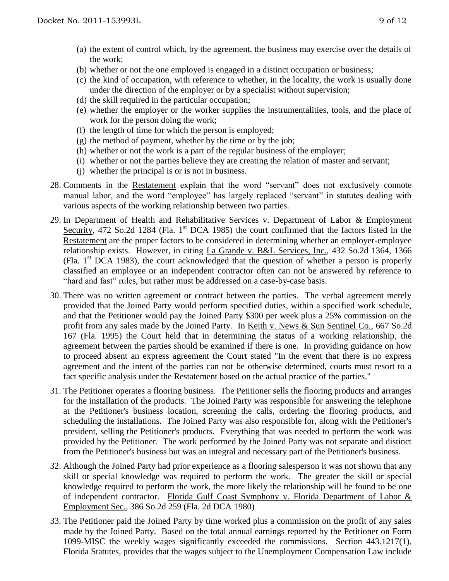- (a) the extent of control which, by the agreement, the business may exercise over the details of the work;
- (b) whether or not the one employed is engaged in a distinct occupation or business;
- (c) the kind of occupation, with reference to whether, in the locality, the work is usually done under the direction of the employer or by a specialist without supervision;
- (d) the skill required in the particular occupation;
- (e) whether the employer or the worker supplies the instrumentalities, tools, and the place of work for the person doing the work;
- (f) the length of time for which the person is employed;
- $(g)$  the method of payment, whether by the time or by the job;
- (h) whether or not the work is a part of the regular business of the employer;
- (i) whether or not the parties believe they are creating the relation of master and servant;
- (j) whether the principal is or is not in business.
- 28. Comments in the Restatement explain that the word "servant" does not exclusively connote manual labor, and the word "employee" has largely replaced "servant" in statutes dealing with various aspects of the working relationship between two parties.
- 29. In Department of Health and Rehabilitative Services v. Department of Labor & Employment Security, 472 So.2d 1284 (Fla. 1<sup>st</sup> DCA 1985) the court confirmed that the factors listed in the Restatement are the proper factors to be considered in determining whether an employer-employee relationship exists. However, in citing La Grande v. B&L Services, Inc., 432 So.2d 1364, 1366 (Fla.  $1<sup>st</sup> DCA$  1983), the court acknowledged that the question of whether a person is properly classified an employee or an independent contractor often can not be answered by reference to "hard and fast" rules, but rather must be addressed on a case-by-case basis.
- 30. There was no written agreement or contract between the parties. The verbal agreement merely provided that the Joined Party would perform specified duties, within a specified work schedule, and that the Petitioner would pay the Joined Party \$300 per week plus a 25% commission on the profit from any sales made by the Joined Party. In Keith v. News & Sun Sentinel Co., 667 So.2d 167 (Fla. 1995) the Court held that in determining the status of a working relationship, the agreement between the parties should be examined if there is one. In providing guidance on how to proceed absent an express agreement the Court stated "In the event that there is no express agreement and the intent of the parties can not be otherwise determined, courts must resort to a fact specific analysis under the Restatement based on the actual practice of the parties."
- 31. The Petitioner operates a flooring business. The Petitioner sells the flooring products and arranges for the installation of the products. The Joined Party was responsible for answering the telephone at the Petitioner's business location, screening the calls, ordering the flooring products, and scheduling the installations. The Joined Party was also responsible for, along with the Petitioner's president, selling the Petitioner's products. Everything that was needed to perform the work was provided by the Petitioner. The work performed by the Joined Party was not separate and distinct from the Petitioner's business but was an integral and necessary part of the Petitioner's business.
- 32. Although the Joined Party had prior experience as a flooring salesperson it was not shown that any skill or special knowledge was required to perform the work. The greater the skill or special knowledge required to perform the work, the more likely the relationship will be found to be one of independent contractor. Florida Gulf Coast Symphony v. Florida Department of Labor & Employment Sec., 386 So.2d 259 (Fla. 2d DCA 1980)
- 33. The Petitioner paid the Joined Party by time worked plus a commission on the profit of any sales made by the Joined Party. Based on the total annual earnings reported by the Petitioner on Form 1099-MISC the weekly wages significantly exceeded the commissions. Section 443.1217(1), Florida Statutes, provides that the wages subject to the Unemployment Compensation Law include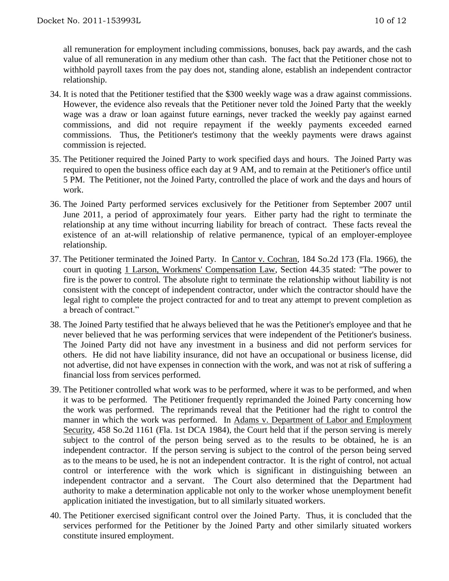all remuneration for employment including commissions, bonuses, back pay awards, and the cash value of all remuneration in any medium other than cash. The fact that the Petitioner chose not to withhold payroll taxes from the pay does not, standing alone, establish an independent contractor relationship.

- 34. It is noted that the Petitioner testified that the \$300 weekly wage was a draw against commissions. However, the evidence also reveals that the Petitioner never told the Joined Party that the weekly wage was a draw or loan against future earnings, never tracked the weekly pay against earned commissions, and did not require repayment if the weekly payments exceeded earned commissions. Thus, the Petitioner's testimony that the weekly payments were draws against commission is rejected.
- 35. The Petitioner required the Joined Party to work specified days and hours. The Joined Party was required to open the business office each day at 9 AM, and to remain at the Petitioner's office until 5 PM. The Petitioner, not the Joined Party, controlled the place of work and the days and hours of work.
- 36. The Joined Party performed services exclusively for the Petitioner from September 2007 until June 2011, a period of approximately four years. Either party had the right to terminate the relationship at any time without incurring liability for breach of contract. These facts reveal the existence of an at-will relationship of relative permanence, typical of an employer-employee relationship.
- 37. The Petitioner terminated the Joined Party. In Cantor v. Cochran, 184 So.2d 173 (Fla. 1966), the court in quoting 1 Larson, Workmens' Compensation Law, Section 44.35 stated: "The power to fire is the power to control. The absolute right to terminate the relationship without liability is not consistent with the concept of independent contractor, under which the contractor should have the legal right to complete the project contracted for and to treat any attempt to prevent completion as a breach of contract."
- 38. The Joined Party testified that he always believed that he was the Petitioner's employee and that he never believed that he was performing services that were independent of the Petitioner's business. The Joined Party did not have any investment in a business and did not perform services for others. He did not have liability insurance, did not have an occupational or business license, did not advertise, did not have expenses in connection with the work, and was not at risk of suffering a financial loss from services performed.
- 39. The Petitioner controlled what work was to be performed, where it was to be performed, and when it was to be performed. The Petitioner frequently reprimanded the Joined Party concerning how the work was performed. The reprimands reveal that the Petitioner had the right to control the manner in which the work was performed. In Adams v. Department of Labor and Employment Security, 458 So.2d 1161 (Fla. 1st DCA 1984), the Court held that if the person serving is merely subject to the control of the person being served as to the results to be obtained, he is an independent contractor. If the person serving is subject to the control of the person being served as to the means to be used, he is not an independent contractor. It is the right of control, not actual control or interference with the work which is significant in distinguishing between an independent contractor and a servant. The Court also determined that the Department had authority to make a determination applicable not only to the worker whose unemployment benefit application initiated the investigation, but to all similarly situated workers.
- 40. The Petitioner exercised significant control over the Joined Party. Thus, it is concluded that the services performed for the Petitioner by the Joined Party and other similarly situated workers constitute insured employment.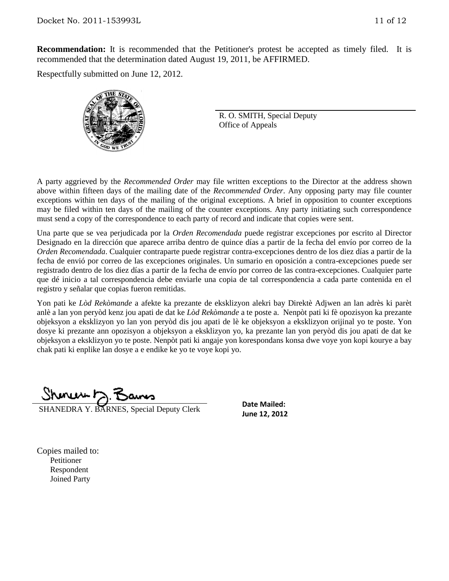**Recommendation:** It is recommended that the Petitioner's protest be accepted as timely filed. It is recommended that the determination dated August 19, 2011, be AFFIRMED.

Respectfully submitted on June 12, 2012.



R. O. SMITH, Special Deputy Office of Appeals

A party aggrieved by the *Recommended Order* may file written exceptions to the Director at the address shown above within fifteen days of the mailing date of the *Recommended Order*. Any opposing party may file counter exceptions within ten days of the mailing of the original exceptions. A brief in opposition to counter exceptions may be filed within ten days of the mailing of the counter exceptions. Any party initiating such correspondence must send a copy of the correspondence to each party of record and indicate that copies were sent.

Una parte que se vea perjudicada por la *Orden Recomendada* puede registrar excepciones por escrito al Director Designado en la dirección que aparece arriba dentro de quince días a partir de la fecha del envío por correo de la *Orden Recomendada*. Cualquier contraparte puede registrar contra-excepciones dentro de los diez días a partir de la fecha de envió por correo de las excepciones originales. Un sumario en oposición a contra-excepciones puede ser registrado dentro de los diez días a partir de la fecha de envío por correo de las contra-excepciones. Cualquier parte que dé inicio a tal correspondencia debe enviarle una copia de tal correspondencia a cada parte contenida en el registro y señalar que copias fueron remitidas.

Yon pati ke *Lòd Rekòmande* a afekte ka prezante de eksklizyon alekri bay Direktè Adjwen an lan adrès ki parèt anlè a lan yon peryòd kenz jou apati de dat ke *Lòd Rekòmande* a te poste a. Nenpòt pati ki fè opozisyon ka prezante objeksyon a eksklizyon yo lan yon peryòd dis jou apati de lè ke objeksyon a eksklizyon orijinal yo te poste. Yon dosye ki prezante ann opozisyon a objeksyon a eksklizyon yo, ka prezante lan yon peryòd dis jou apati de dat ke objeksyon a eksklizyon yo te poste. Nenpòt pati ki angaje yon korespondans konsa dwe voye yon kopi kourye a bay chak pati ki enplike lan dosye a e endike ke yo te voye kopi yo.

<u> Shonew D. Bans</u>

SHANEDRA Y. BARNES, Special Deputy Clerk

**Date Mailed: June 12, 2012**

Copies mailed to: Petitioner Respondent Joined Party